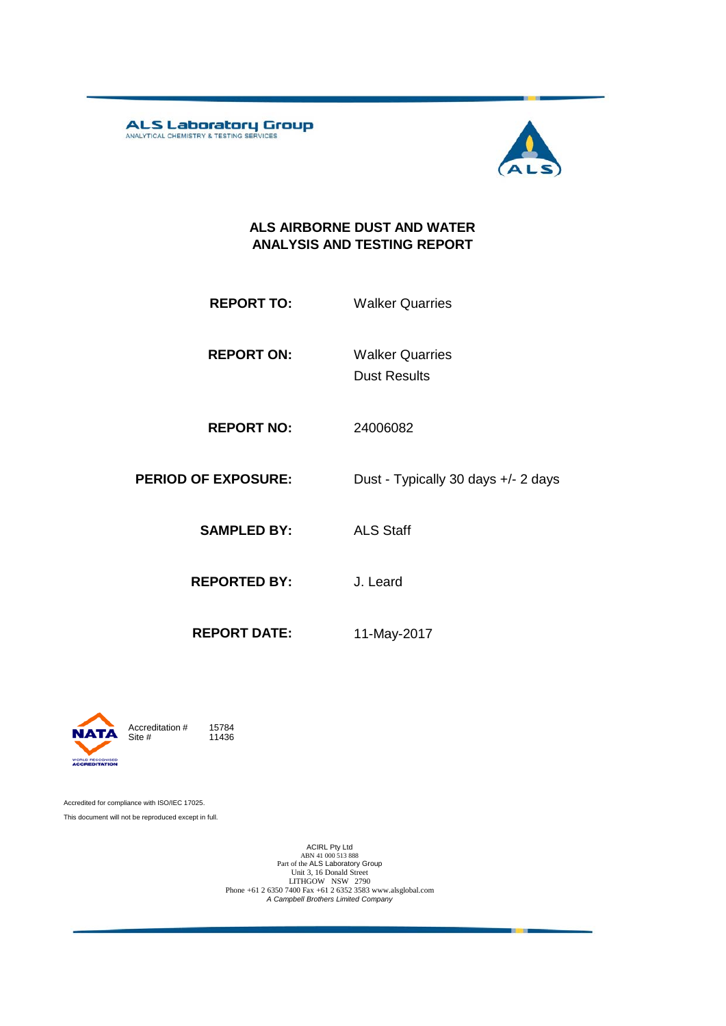**ALS Laboratory Group** 



#### **ALS AIRBORNE DUST AND WATER ANALYSIS AND TESTING REPORT**

- **REPORT TO:** Walker Quarries
- **REPORT ON:** Dust Results Walker Quarries
- **REPORT NO:** 24006082
- **PERIOD OF EXPOSURE:** Dust Typically 30 days +/- 2 days
	- **SAMPLED BY:** ALS Staff
	- **REPORTED BY:** J. Leard
		-
	- **REPORT DATE:** 11-May-2017



11436

Accredited for compliance with ISO/IEC 17025. This document will not be reproduced except in full.

ACIRL Pty Ltd<br>
ABN 41 000 513 888<br>
Part of the ALS Laboratory Group<br>
Unit 3, 16 Donald Street<br>
LITHGOW NSW 2790<br>
Phone +61 2 6350 7400 Fax +61 2 6352 3583 www.alsglobal.com<br> *A Campbell Brothers Limited Company*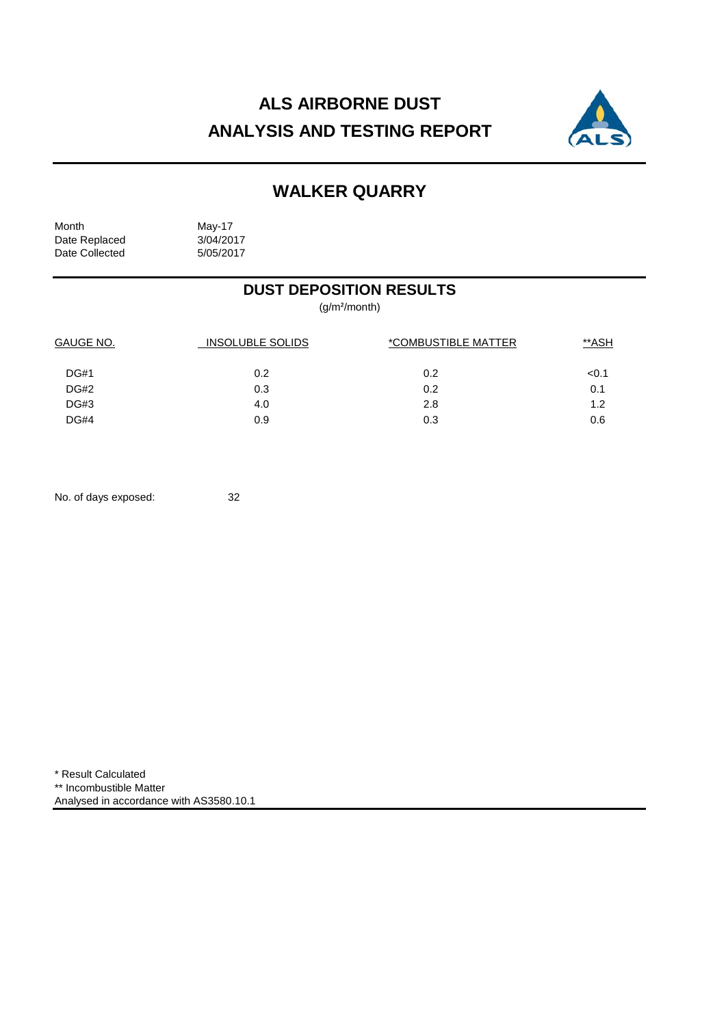# **ALS AIRBORNE DUST ANALYSIS AND TESTING REPORT**



# **WALKER QUARRY**

Month May-17<br>Date Replaced 3/04/2017 Date Replaced 3/04/2017<br>Date Collected 5/05/2017 Date Collected

### **DUST DEPOSITION RESULTS**

(g/m²/month)

| GAUGE NO.   | <b>INSOLUBLE SOLIDS</b> | *COMBUSTIBLE MATTER | **ASH |  |
|-------------|-------------------------|---------------------|-------|--|
| <b>DG#1</b> | 0.2                     | 0.2                 | < 0.1 |  |
| <b>DG#2</b> | 0.3                     | 0.2                 | 0.1   |  |
| <b>DG#3</b> | 4.0                     | 2.8                 | 1.2   |  |
| DG#4        | 0.9                     | 0.3                 | 0.6   |  |

No. of days exposed: 32

\* Result Calculated \*\* Incombustible Matter Analysed in accordance with AS3580.10.1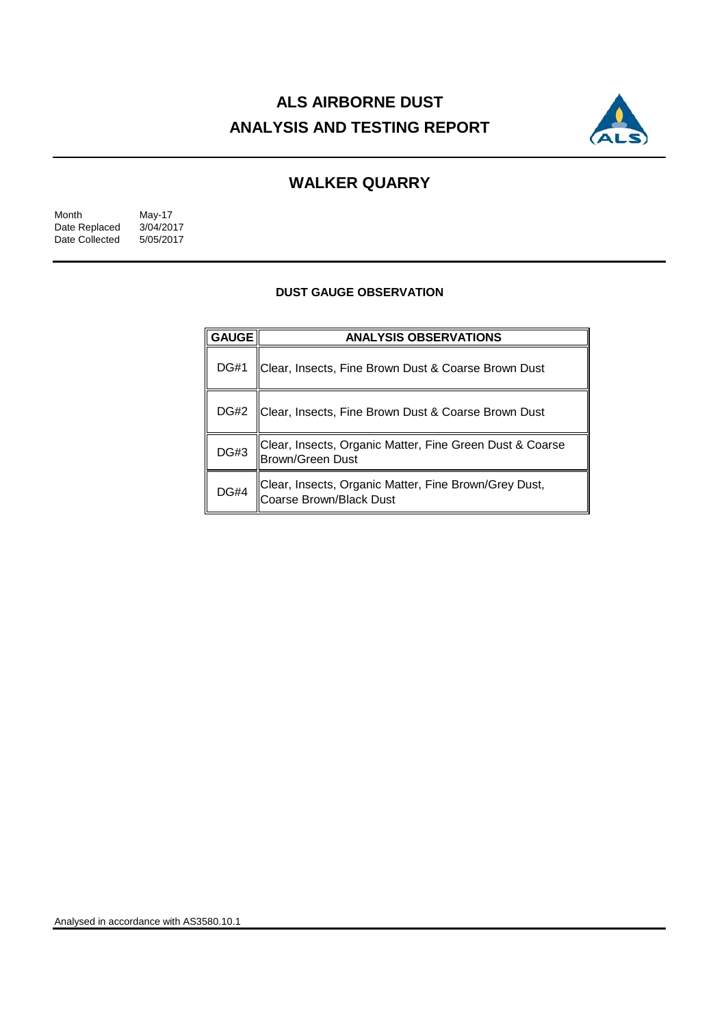# **ALS AIRBORNE DUST ANALYSIS AND TESTING REPORT**



## **WALKER QUARRY**

| Month          | May-17    |
|----------------|-----------|
| Date Replaced  | 3/04/2017 |
| Date Collected | 5/05/2017 |

#### **DUST GAUGE OBSERVATION**

| <b>GAUGE</b> | <b>ANALYSIS OBSERVATIONS</b>                                                     |  |  |
|--------------|----------------------------------------------------------------------------------|--|--|
| <b>DG#1</b>  | Clear, Insects, Fine Brown Dust & Coarse Brown Dust                              |  |  |
| DG#2         | Clear, Insects, Fine Brown Dust & Coarse Brown Dust                              |  |  |
| <b>DG#3</b>  | Clear, Insects, Organic Matter, Fine Green Dust & Coarse<br>Brown/Green Dust     |  |  |
| <b>DG#4</b>  | Clear, Insects, Organic Matter, Fine Brown/Grey Dust,<br>Coarse Brown/Black Dust |  |  |